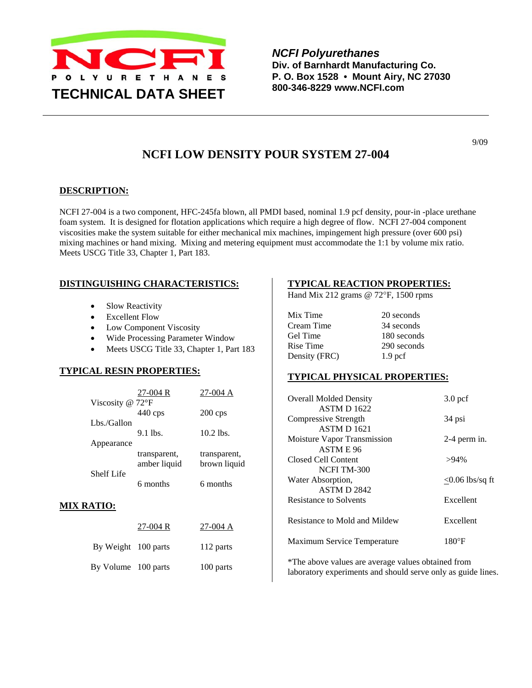

*NCFI Polyurethanes*  **Div. of Barnhardt Manufacturing Co. P. O. Box 1528 • Mount Airy, NC 27030 800-346-8229 www.NCFI.com** 

**NCFI LOW DENSITY POUR SYSTEM 27-004** 

### **DESCRIPTION:**

NCFI 27-004 is a two component, HFC-245fa blown, all PMDI based, nominal 1.9 pcf density, pour-in -place urethane foam system. It is designed for flotation applications which require a high degree of flow. NCFI 27-004 component viscosities make the system suitable for either mechanical mix machines, impingement high pressure (over 600 psi) mixing machines or hand mixing. Mixing and metering equipment must accommodate the 1:1 by volume mix ratio. Meets USCG Title 33, Chapter 1, Part 183.

### **DISTINGUISHING CHARACTERISTICS:**

- Slow Reactivity
- Excellent Flow
- **Low Component Viscosity**
- Wide Processing Parameter Window
- Meets USCG Title 33, Chapter 1, Part 183

### **TYPICAL RESIN PROPERTIES:**

|             | $27-004R$                  | 27-004 A           |
|-------------|----------------------------|--------------------|
|             | Viscosity @ $72^{\circ}$ F |                    |
|             | $440$ cps                  | $200 \,\text{cps}$ |
| Lbs./Gallon |                            |                    |
|             | $9.1$ lbs.                 | $10.2$ lbs.        |
| Appearance  |                            |                    |
|             | transparent,               | transparent,       |
|             | amber liquid               | brown liquid       |
| Shelf Life  |                            |                    |
|             | 6 months                   | 6 months           |

#### **MIX RATIO:**

|                     | $27-004R$ | $27-004$ A |
|---------------------|-----------|------------|
| By Weight 100 parts |           | 112 parts  |
| By Volume 100 parts |           | 100 parts  |

#### **TYPICAL REACTION PROPERTIES:**

Hand Mix 212 grams @ 72°F, 1500 rpms

| Mix Time      | 20 seconds         |
|---------------|--------------------|
| Cream Time    | 34 seconds         |
| Gel Time      | 180 seconds        |
| Rise Time     | 290 seconds        |
| Density (FRC) | 1.9 <sub>pcf</sub> |
|               |                    |

#### **TYPICAL PHYSICAL PROPERTIES:**

| <b>Overall Molded Density</b>      | $3.0$ pcf          |
|------------------------------------|--------------------|
| <b>ASTM D 1622</b>                 |                    |
| Compressive Strength               | 34 psi             |
| <b>ASTM D 1621</b>                 |                    |
| Moisture Vapor Transmission        | $2-4$ perm in.     |
| ASTM E 96                          |                    |
| Closed Cell Content                | $>94\%$            |
| NCFI TM-300                        |                    |
| Water Absorption,                  | $<$ 0.06 lbs/sq ft |
| <b>ASTM D 2842</b>                 |                    |
| <b>Resistance to Solvents</b>      | Excellent          |
| Resistance to Mold and Mildew      | Excellent          |
| <b>Maximum Service Temperature</b> | 180°F              |

\*The above values are average values obtained from laboratory experiments and should serve only as guide lines.

9/09